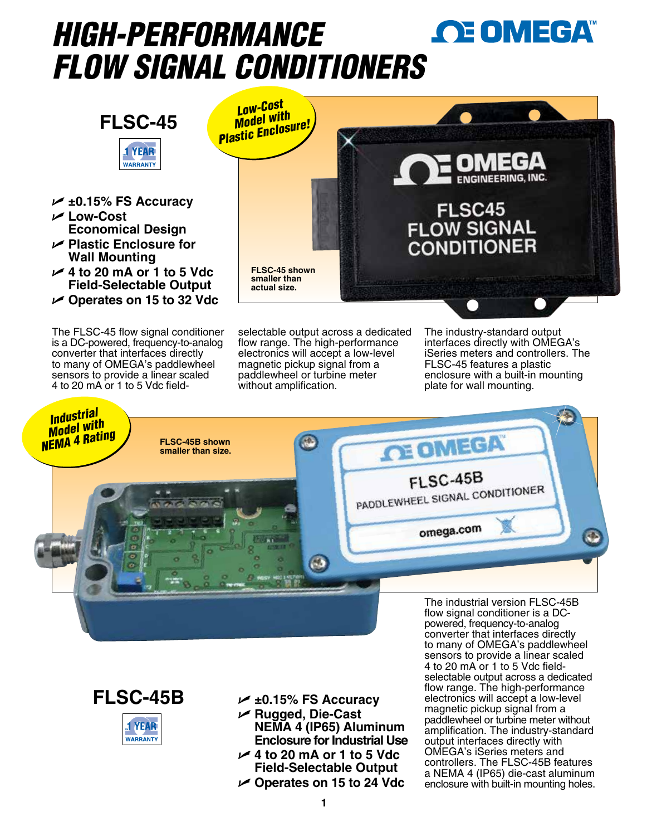# **OE OMEGA** *HIGH-PERFORMANCE FLOW SIGNAL CONDITIONER[S](www.omega.com)*



- U **±0.15% FS Accuracy** U **Low-Cost**
- **Economical Design**
- U **Plastic Enclosure for Wall Mounting**
- U **4 to 20 mA or 1 to 5 Vdc Field-Selectable Output**
- U **Operates on 15 to 32 Vdc**

The FLSC-45 flow signal conditioner is a DC-powered, frequency-to-analog converter that interfaces directly to many of OMEGA's paddlewheel sensors to provide a linear scaled 4 to 20 mA or 1 to 5 Vdc field-



selectable output across a dedicated flow range. The high-performance electronics will accept a low-level magnetic pickup signal from a paddlewheel or turbine meter without amplification.

The industry-standard output interfaces directly with OMEGA's iSeries meters and controllers. The FLSC-45 features a plastic enclosure with a built-in mounting plate for wall mounting.





**T** YEAR

**WARRANTY** 

- U **±0.15% FS Accuracy**
- U **Rugged, Die-Cast NEMA 4 (IP65) Aluminum Enclosure for Industrial Use** U **4 to 20 mA or 1 to 5 Vdc**
- **Field-Selectable Output**
- U **Operates on 15 to 24 Vdc**

converter that interfaces directly to many of OMEGA's paddlewheel sensors to provide a linear scaled 4 to 20 mA or 1 to 5 Vdc fieldselectable output across a dedicated flow range. The high-performance electronics will accept a low-level magnetic pickup signal from a paddlewheel or turbine meter without amplification. The industry-standard output interfaces directly with OMEGA's iSeries meters and controllers. The FLSC-45B features a NEMA 4 (IP65) die-cast aluminum enclosure with built-in mounting holes.